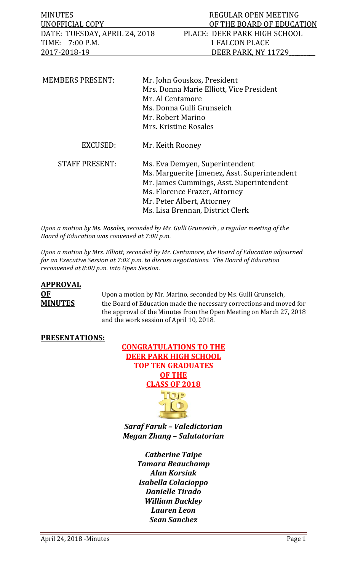| MINUTES                       | REGULAR OPEN MEETING         |
|-------------------------------|------------------------------|
| UNOFFICIAL COPY               | OF THE BOARD OF EDUCATION    |
| DATE: TUESDAY, APRIL 24, 2018 | PLACE: DEER PARK HIGH SCHOOL |
| TIME: 7:00 P.M.               | 1 FALCON PLACE               |
| 2017-2018-19                  | DEER PARK, NY 11729          |
|                               |                              |
|                               |                              |

| <b>MEMBERS PRESENT:</b> | Mr. John Gouskos, President                  |
|-------------------------|----------------------------------------------|
|                         | Mrs. Donna Marie Elliott, Vice President     |
|                         | Mr. Al Centamore                             |
|                         | Ms. Donna Gulli Grunseich                    |
|                         | Mr. Robert Marino                            |
|                         | Mrs. Kristine Rosales                        |
| <b>EXCUSED:</b>         | Mr. Keith Rooney                             |
| <b>STAFF PRESENT:</b>   | Ms. Eva Demyen, Superintendent               |
|                         | Ms. Marguerite Jimenez, Asst. Superintendent |
|                         | Mr. James Cummings, Asst. Superintendent     |
|                         | Ms. Florence Frazer, Attorney                |
|                         | Mr. Peter Albert, Attorney                   |
|                         | Ms. Lisa Brennan, District Clerk             |

*Upon a motion by Ms. Rosales, seconded by Ms. Gulli Grunseich , a regular meeting of the Board of Education was convened at 7:00 p.m.*

*Upon a motion by Mrs. Elliott, seconded by Mr. Centamore, the Board of Education adjourned for an Executive Session at 7:02 p.m. to discuss negotiations. The Board of Education reconvened at 8:00 p.m. into Open Session.* 

# **APPROVAL**

**OF** Upon a motion by Mr. Marino, seconded by Ms. Gulli Grunseich,<br> **MINUTES** the Board of Education made the necessary corrections and mov the Board of Education made the necessary corrections and moved for the approval of the Minutes from the Open Meeting on March 27, 2018 and the work session of April 10, 2018.

#### **PRESENTATIONS:**



*Saraf Faruk – Valedictorian Megan Zhang – Salutatorian*

> *Catherine Taipe Tamara Beauchamp Alan Korsiak Isabella Colacioppo Danielle Tirado William Buckley Lauren Leon Sean Sanchez*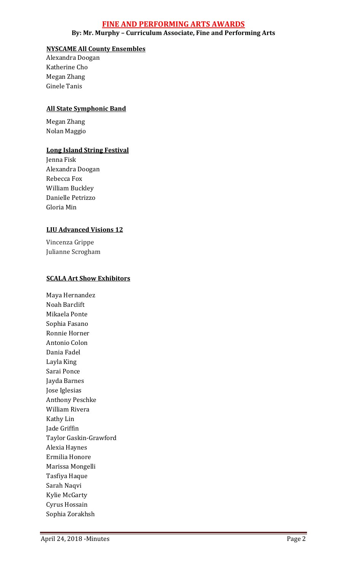#### **FINE AND PERFORMING ARTS AWARDS**

**By: Mr. Murphy – Curriculum Associate, Fine and Performing Arts**

#### **NYSCAME All County Ensembles**

Alexandra Doogan Katherine Cho Megan Zhang Ginele Tanis

#### **All State Symphonic Band**

Megan Zhang Nolan Maggio

#### **Long Island String Festival**

Jenna Fisk Alexandra Doogan Rebecca Fox William Buckley Danielle Petrizzo Gloria Min

#### **LIU Advanced Visions 12**

Vincenza Grippe Julianne Scrogham

#### **SCALA Art Show Exhibitors**

Maya Hernandez Noah Barclift Mikaela Ponte Sophia Fasano Ronnie Horner Antonio Colon Dania Fadel Layla King Sarai Ponce Jayda Barnes Jose Iglesias Anthony Peschke William Rivera Kathy Lin Jade Griffin Taylor Gaskin-Grawford Alexia Haynes Ermilia Honore Marissa Mongelli Tasfiya Haque Sarah Naqvi Kylie McGarty Cyrus Hossain Sophia Zorakhsh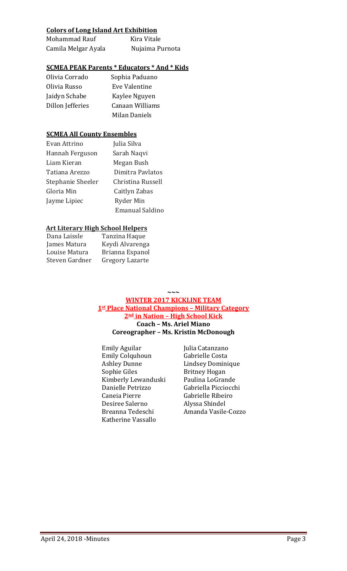#### **Colors of Long Island Art Exhibition**

| Mohammad Rauf       | Kira Vitale     |
|---------------------|-----------------|
| Camila Melgar Ayala | Nujaima Purnota |

#### **SCMEA PEAK Parents \* Educators \* And \* Kids**

| Olivia Corrado   | Sophia Paduano  |
|------------------|-----------------|
| Olivia Russo     | Eve Valentine   |
| Jaidyn Schabe    | Kaylee Nguyen   |
| Dillon Jefferies | Canaan Williams |
|                  | Milan Daniels   |

#### **SCMEA All County Ensembles**

| Evan Attrino      | Julia Silva            |
|-------------------|------------------------|
| Hannah Ferguson   | Sarah Naqvi            |
| Liam Kieran       | Megan Bush             |
| Tatiana Arezzo    | Dimitra Pavlatos       |
| Stephanie Sheeler | Christina Russell      |
| Gloria Min        | Caitlyn Zabas          |
| Jayme Lipiec      | Ryder Min              |
|                   | <b>Emanual Saldino</b> |

#### **Art Literary High School Helpers**

| Dana Laissle   | Tanzina Haque   |
|----------------|-----------------|
| James Matura   | Keydi Alvarenga |
| Louise Matura  | Brianna Espanol |
| Steven Gardner | Gregory Lazarte |
|                |                 |

**~~~**

#### **WINTER 2017 KICKLINE TEAM 1st Place National Champions – Military Category 2nd in Nation – High School Kick Coach – Ms. Ariel Miano Coreographer – Ms. Kristin McDonough**

Emily Aguilar [Julia Catanzano]<br>Emily Colquhoun [Gabrielle Costa Emily Colquhoun<br>Ashley Dunne Ashley Dunne Lindsey Dominique<br>
Sophie Giles Britney Hogan Kimberly Lewanduski Paulina LoGrande<br>Danielle Petrizzo Gabriella Picciocchi Danielle Petrizzo<br>Caneia Pierre Desiree Salerno<br>Breanna Tedeschi Katherine Vassallo

Britney Hogan<br>Paulina LoGrande Gabrielle Ribeiro<br>Alyssa Shindel Amanda Vasile-Cozzo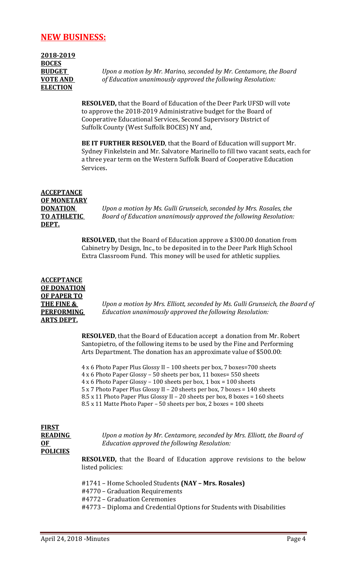### **NEW BUSINESS:**

**2018-2019 BOCES ELECTION**

**BUDGET** *Upon a motion by Mr. Marino, seconded by Mr. Centamore, the Board*  **VOTE AND** *of Education unanimously approved the following Resolution:*

> **RESOLVED,** that the Board of Education of the Deer Park UFSD will vote to approve the 2018-2019 Administrative budget for the Board of Cooperative Educational Services, Second Supervisory District of Suffolk County (West Suffolk BOCES) NY and,

**BE IT FURTHER RESOLVED**, that the Board of Education will support Mr. Sydney Finkelstein and Mr. Salvatore Marinello to fill two vacant seats, each for a three year term on the Western Suffolk Board of Cooperative Education Services.

### **ACCEPTANCE OF MONETARY DEPT.**

**DONATION** *Upon a motion by Ms. Gulli Grunseich, seconded by Mrs. Rosales, the*  **TO ATHLETIC** *Board of Education unanimously approved the following Resolution:*

> **RESOLVED,** that the Board of Education approve a \$300.00 donation from Cabinetry by Design, Inc., to be deposited in to the Deer Park High School Extra Classroom Fund. This money will be used for athletic supplies.

**ACCEPTANCE OF DONATION OF PAPER TO ARTS DEPT.**

**THE FINE &** *Upon a motion by Mrs. Elliott, seconded by Ms. Gulli Grunseich, the Board of*  **PERFORMING** *Education unanimously approved the following Resolution:*

> **RESOLVED**, that the Board of Education accept a donation from Mr. Robert Santopietro, of the following items to be used by the Fine and Performing Arts Department. The donation has an approximate value of \$500.00:

4 x 6 Photo Paper Plus Glossy II – 100 sheets per box, 7 boxes=700 sheets

4 x 6 Photo Paper Glossy – 50 sheets per box, 11 boxes= 550 sheets

4 x 6 Photo Paper Glossy – 100 sheets per box, 1 box = 100 sheets

5 x 7 Photo Paper Plus Glossy II – 20 sheets per box, 7 boxes = 140 sheets

8.5 x 11 Photo Paper Plus Glossy II – 20 sheets per box, 8 boxes = 160 sheets

8.5 x 11 Matte Photo Paper – 50 sheets per box, 2 boxes = 100 sheets

## **FIRST POLICIES**

**READING** *Upon a motion by Mr. Centamore, seconded by Mrs. Elliott, the Board of*  **OF** *Education approved the following Resolution:* 

**RESOLVED,** that the Board of Education approve revisions to the below listed policies:

#1741 – Home Schooled Students **(NAY – Mrs. Rosales)** #4770 – Graduation Requirements #4772 – Graduation Ceremonies #4773 – Diploma and Credential Options for Students with Disabilities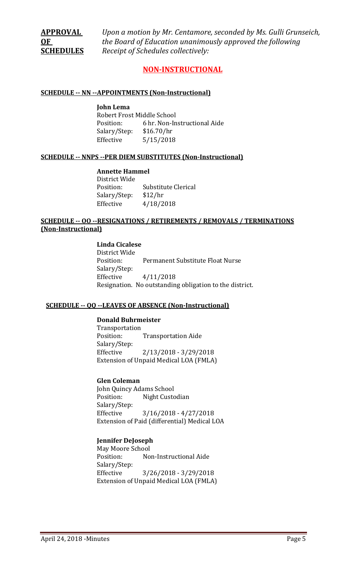**APPROVAL** *Upon a motion by Mr. Centamore, seconded by Ms. Gulli Grunseich,* **OF** *the Board of Education unanimously approved the following*  **SCHEDULES** *Receipt of Schedules collectively:*

#### **NON-INSTRUCTIONAL**

#### **SCHEDULE -- NN --APPOINTMENTS (Non-Instructional)**

**John Lema** Robert Frost Middle School<br>Position: 6 hr. Non-In 6 hr. Non-Instructional Aide  $$16.70/hr$ Salary/Step:<br>Effective  $5/15/2018$ 

#### **SCHEDULE -- NNPS --PER DIEM SUBSTITUTES (Non-Instructional)**

#### **Annette Hammel**

District Wide Substitute Clerical<br>\$12/hr Salary/Step:<br>Effective Effective 4/18/2018

#### **SCHEDULE -- OO --RESIGNATIONS / RETIREMENTS / REMOVALS / TERMINATIONS (Non-Instructional)**

#### **Linda Cicalese**

District Wide Permanent Substitute Float Nurse Salary/Step:<br>Effective Effective 4/11/2018 Resignation. No outstanding obligation to the district.

#### **SCHEDULE -- QQ --LEAVES OF ABSENCE (Non-Instructional)**

#### **Donald Buhrmeister**

Transportation **Transportation Aide** Salary/Step: Effective 2/13/2018 - 3/29/2018 Extension of Unpaid Medical LOA (FMLA)

#### **Glen Coleman**

John Quincy Adams School<br>Position: Night Custo Night Custodian Salary/Step: Effective 3/16/2018 - 4/27/2018 Extension of Paid (differential) Medical LOA

#### **Jennifer DeJoseph**

May Moore School<br>Position: No Non-Instructional Aide Salary/Step:  $3/26/2018 - 3/29/2018$ Extension of Unpaid Medical LOA (FMLA)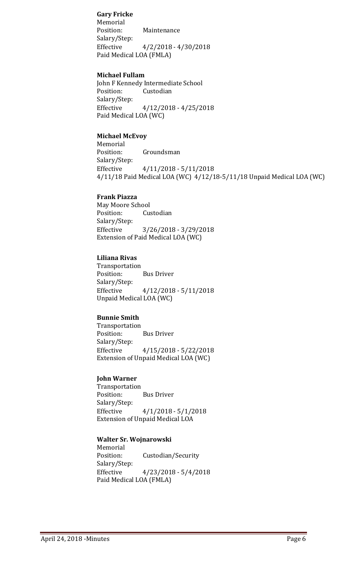**Gary Fricke** Memorial<br>Position: Maintenance Salary/Step: Effective 4/2/2018 - 4/30/2018 Paid Medical LOA (FMLA)

#### **Michael Fullam**

John F Kennedy Intermediate School<br>Position: Custodian Custodian Salary/Step: Effective 4/12/2018 - 4/25/2018 Paid Medical LOA (WC)

#### **Michael McEvoy**

Memorial<br>Position: Groundsman Salary/Step:<br>Effective  $4/11/2018 - 5/11/2018$ 4/11/18 Paid Medical LOA (WC) 4/12/18-5/11/18 Unpaid Medical LOA (WC)

#### **Frank Piazza**

May Moore School<br>Position: Cus Custodian Salary/Step: Effective 3/26/2018 - 3/29/2018 Extension of Paid Medical LOA (WC)

#### **Liliana Rivas**

Transportation<br>Position: **Bus Driver** Salary/Step: Effective 4/12/2018 - 5/11/2018 Unpaid Medical LOA (WC)

#### **Bunnie Smith**

Transportation<br>Position: **Bus Driver** Salary/Step: Effective 4/15/2018 - 5/22/2018 Extension of Unpaid Medical LOA (WC)

#### **John Warner**

Transportation<br>Position: **Bus Driver** Salary/Step:<br>Effective  $4/1/2018 - 5/1/2018$ Extension of Unpaid Medical LOA

#### **Walter Sr. Wojnarowski**

Memorial<br>Position: Custodian/Security Salary/Step:  $4/23/2018 - 5/4/2018$ Paid Medical LOA (FMLA)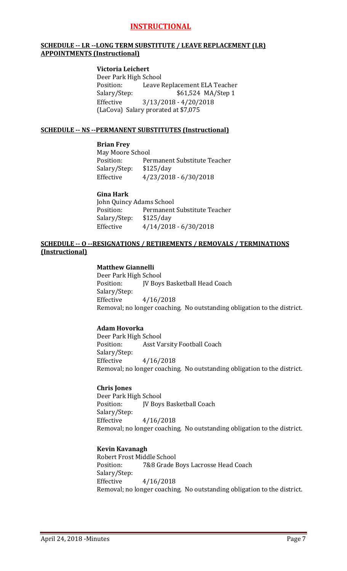#### **INSTRUCTIONAL**

#### **SCHEDULE -- LR --LONG TERM SUBSTITUTE / LEAVE REPLACEMENT (LR) APPOINTMENTS (Instructional)**

#### **Victoria Leichert**

Deer Park High School<br>Position: Leave l Position: Leave Replacement ELA Teacher<br>Salary/Step: \$61,524 MA/Step 1 \$61,524 MA/Step 1 Effective 3/13/2018 - 4/20/2018 (LaCova) Salary prorated at \$7,075

#### **SCHEDULE -- NS --PERMANENT SUBSTITUTES (Instructional)**

#### **Brian Frey**

May Moore School<br>Position: Per Permanent Substitute Teacher<br>\$125/day Salary/Step:<br>Effective Effective 4/23/2018 - 6/30/2018

#### **Gina Hark**

John Quincy Adams School<br>Position: Permanent Permanent Substitute Teacher Salary/Step: \$125/day Effective 4/14/2018 - 6/30/2018

#### **SCHEDULE -- O --RESIGNATIONS / RETIREMENTS / REMOVALS / TERMINATIONS (Instructional)**

#### **Matthew Giannelli**

Deer Park High School<br>Position: [V Boys JV Boys Basketball Head Coach Salary/Step:<br>Effective Effective 4/16/2018 Removal; no longer coaching. No outstanding obligation to the district.

#### **Adam Hovorka**

Deer Park High School Asst Varsity Football Coach Salary/Step: Effective 4/16/2018 Removal; no longer coaching. No outstanding obligation to the district.

#### **Chris Jones**

Deer Park High School<br>Position: IV Bov JV Boys Basketball Coach Salary/Step:<br>Effective Effective 4/16/2018 Removal; no longer coaching. No outstanding obligation to the district.

#### **Kevin Kavanagh**

Robert Frost Middle School<br>Position: 7&8 Grade I 7&8 Grade Boys Lacrosse Head Coach Salary/Step:<br>Effective Effective 4/16/2018 Removal; no longer coaching. No outstanding obligation to the district.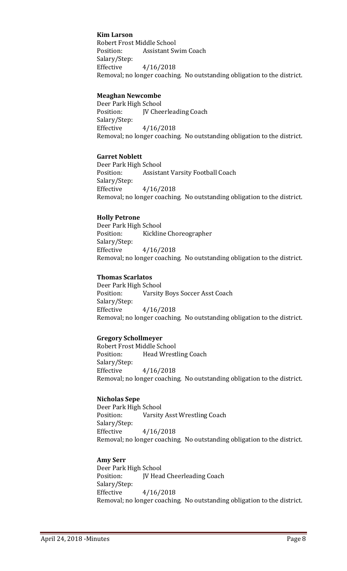#### **Kim Larson**

Robert Frost Middle School<br>Position: Assistant Sv **Assistant Swim Coach** Salary/Step: Effective 4/16/2018 Removal; no longer coaching. No outstanding obligation to the district.

#### **Meaghan Newcombe**

Deer Park High School JV Cheerleading Coach Salary/Step: Effective 4/16/2018 Removal; no longer coaching. No outstanding obligation to the district.

#### **Garret Noblett**

Deer Park High School<br>Position: Assista Assistant Varsity Football Coach Salary/Step: Effective 4/16/2018 Removal; no longer coaching. No outstanding obligation to the district.

#### **Holly Petrone**

Deer Park High School Kickline Choreographer Salary/Step: Effective 4/16/2018 Removal; no longer coaching. No outstanding obligation to the district.

#### **Thomas Scarlatos**

Deer Park High School<br>Position: Varsity Varsity Boys Soccer Asst Coach Salary/Step: Effective 4/16/2018 Removal; no longer coaching. No outstanding obligation to the district.

#### **Gregory Schollmeyer**

Robert Frost Middle School<br>Position: Head Wrest Head Wrestling Coach Salary/Step: Effective 4/16/2018 Removal; no longer coaching. No outstanding obligation to the district.

#### **Nicholas Sepe**

Deer Park High School Varsity Asst Wrestling Coach Salary/Step: Effective 4/16/2018 Removal; no longer coaching. No outstanding obligation to the district.

#### **Amy Serr**

Deer Park High School<br>Position: IV Hea JV Head Cheerleading Coach Salary/Step: Effective 4/16/2018 Removal; no longer coaching. No outstanding obligation to the district.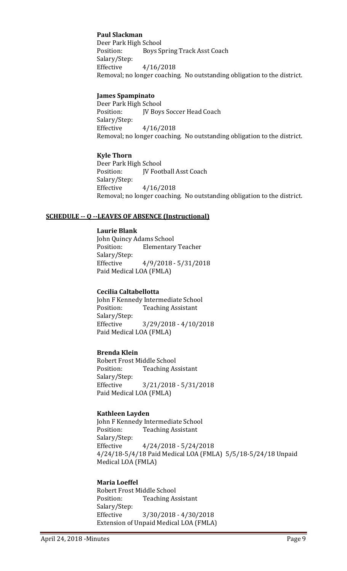#### **Paul Slackman**

Deer Park High School<br>Position: Boys S Boys Spring Track Asst Coach Salary/Step: Effective 4/16/2018 Removal; no longer coaching. No outstanding obligation to the district.

#### **James Spampinato**

Deer Park High School<br>Position: [V Boys JV Boys Soccer Head Coach Salary/Step: Effective 4/16/2018 Removal; no longer coaching. No outstanding obligation to the district.

#### **Kyle Thorn**

Deer Park High School<br>Position: IV Foot JV Football Asst Coach Salary/Step: Effective 4/16/2018 Removal; no longer coaching. No outstanding obligation to the district.

#### **SCHEDULE -- Q --LEAVES OF ABSENCE (Instructional)**

**Laurie Blank** John Quincy Adams School **Elementary Teacher** Salary/Step:<br>Effective Effective 4/9/2018 - 5/31/2018 Paid Medical LOA (FMLA)

#### **Cecilia Caltabellotta**

John F Kennedy Intermediate School<br>Position: Teaching Assistant **Teaching Assistant** Salary/Step: Effective 3/29/2018 - 4/10/2018 Paid Medical LOA (FMLA)

#### **Brenda Klein**

Robert Frost Middle School<br>Position: Teaching As **Teaching Assistant** Salary/Step: Effective 3/21/2018 - 5/31/2018 Paid Medical LOA (FMLA)

#### **Kathleen Layden**

John F Kennedy Intermediate School<br>Position: Teaching Assistant **Teaching Assistant** Salary/Step:<br>Effective  $4/24/2018 - 5/24/2018$ 4/24/18-5/4/18 Paid Medical LOA (FMLA) 5/5/18-5/24/18 Unpaid Medical LOA (FMLA)

#### **Maria Loeffel**

Robert Frost Middle School<br>Position: Teaching As **Teaching Assistant** Salary/Step:<br>Effective Effective 3/30/2018 - 4/30/2018 Extension of Unpaid Medical LOA (FMLA)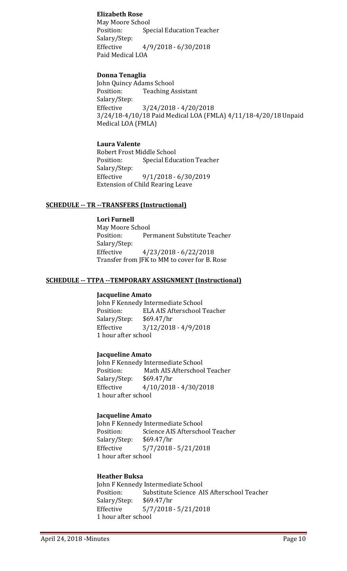#### **Elizabeth Rose**

May Moore School<br>Position: Spe Special Education Teacher Salary/Step:<br>Effective  $4/9/2018 - 6/30/2018$ Paid Medical LOA

#### **Donna Tenaglia**

John Quincy Adams School<br>Position: Teaching A **Teaching Assistant** Salary/Step: Effective 3/24/2018 - 4/20/2018 3/24/18-4/10/18 Paid Medical LOA (FMLA) 4/11/18-4/20/18 Unpaid Medical LOA (FMLA)

#### **Laura Valente**

Robert Frost Middle School<br>Position: Special Edue Special Education Teacher Salary/Step:<br>Effective Effective 9/1/2018 - 6/30/2019 Extension of Child Rearing Leave

#### **SCHEDULE -- TR --TRANSFERS (Instructional)**

**Lori Furnell** May Moore School<br>Position: Per Permanent Substitute Teacher Salary/Step: Effective 4/23/2018 - 6/22/2018 Transfer from JFK to MM to cover for B. Rose

#### **SCHEDULE -- TTPA --TEMPORARY ASSIGNMENT (Instructional)**

#### **Jacqueline Amato**

John F Kennedy Intermediate School<br>Position: ELA AIS Afterschool ELA AIS Afterschool Teacher<br>\$69.47/hr Salary/Step:<br>Effective  $3/12/2018 - 4/9/2018$ 1 hour after school

#### **Jacqueline Amato**

John F Kennedy Intermediate School<br>Position: Math AIS Afterschoo Math AIS Afterschool Teacher<br>\$69.47/hr Salary/Step:<br>Effective  $4/10/2018 - 4/30/2018$ 1 hour after school

#### **Jacqueline Amato**

John F Kennedy Intermediate School<br>Position: Science AIS Afterscho Science AIS Afterschool Teacher<br>\$69.47/hr Salary/Step:<br>Effective  $5/7/2018 - 5/21/2018$ 1 hour after school

#### **Heather Buksa**

John F Kennedy Intermediate School<br>Position: Substitute Science Al Substitute Science AIS Afterschool Teacher<br>\$69.47/hr Salary/Step:<br>Effective  $5/7/2018 - 5/21/2018$ 1 hour after school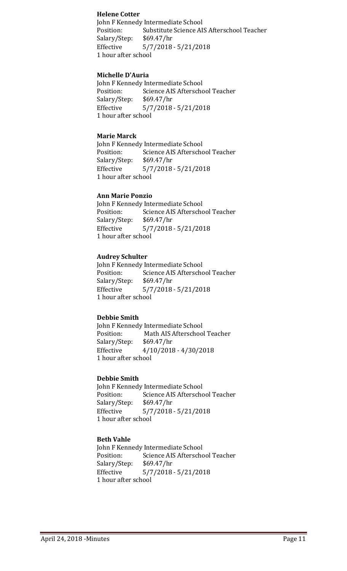#### **Helene Cotter**

John F Kennedy Intermediate School Substitute Science AIS Afterschool Teacher<br>\$69.47/hr Salary/Step:<br>Effective Effective 5/7/2018 - 5/21/2018 1 hour after school

#### **Michelle D'Auria**

John F Kennedy Intermediate School<br>Position: Science AIS Afterscho Science AIS Afterschool Teacher<br>\$69.47/hr Salary/Step: Effective 5/7/2018 - 5/21/2018 1 hour after school

#### **Marie Marck**

John F Kennedy Intermediate School<br>Position: Science AIS Afterscho Science AIS Afterschool Teacher<br>\$69.47/hr Salary/Step:<br>Effective  $5/7/2018 - 5/21/2018$ 1 hour after school

#### **Ann Marie Ponzio**

John F Kennedy Intermediate School<br>Position: Science AIS Afterscho Science AIS Afterschool Teacher<br>\$69.47/hr Salary/Step:<br>Effective  $5/7/2018 - 5/21/2018$ 1 hour after school

#### **Audrey Schulter**

John F Kennedy Intermediate School<br>Position: Science AIS Afterscho Science AIS Afterschool Teacher<br>\$69.47/hr Salary/Step:<br>Effective  $5/7/2018 - 5/21/2018$ 1 hour after school

#### **Debbie Smith**

John F Kennedy Intermediate School<br>Position: Math AIS Afterschoo Math AIS Afterschool Teacher<br>\$69.47/hr Salary/Step:<br>Effective  $4/10/2018 - 4/30/2018$ 1 hour after school

#### **Debbie Smith**

John F Kennedy Intermediate School<br>Position: Science AIS Afterscho Science AIS Afterschool Teacher<br>\$69.47/hr Salary/Step:<br>Effective  $5/7/2018 - 5/21/2018$ 1 hour after school

#### **Beth Vahle**

John F Kennedy Intermediate School<br>Position: Science AIS Afterscho Science AIS Afterschool Teacher<br>\$69.47/hr Salary/Step:<br>Effective Effective 5/7/2018 - 5/21/2018 1 hour after school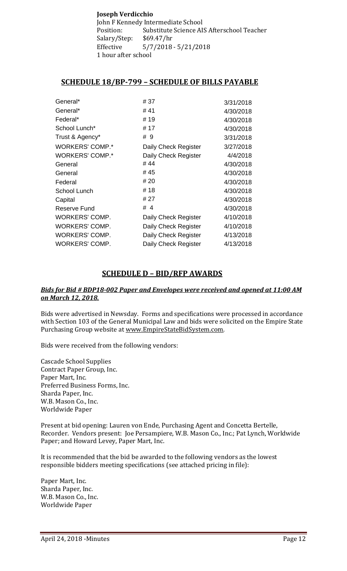#### **Joseph Verdicchio** John F Kennedy Intermediate School<br>Position: Substitute Science AI Substitute Science AIS Afterschool Teacher<br>\$69.47/hr Salary/Step:<br>Effective  $5/7/2018 - 5/21/2018$ 1 hour after school

#### **SCHEDULE 18/BP-799 – SCHEDULE OF BILLS PAYABLE**

| General*               | # 37                 | 3/31/2018 |
|------------------------|----------------------|-----------|
| General*               | #41                  | 4/30/2018 |
| Federal*               | #19                  | 4/30/2018 |
| School Lunch*          | # 17                 | 4/30/2018 |
| Trust & Agency*        | # 9                  | 3/31/2018 |
| <b>WORKERS' COMP.*</b> | Daily Check Register | 3/27/2018 |
| <b>WORKERS' COMP.*</b> | Daily Check Register | 4/4/2018  |
| General                | #44                  | 4/30/2018 |
| General                | # 45                 | 4/30/2018 |
| Federal                | # 20                 | 4/30/2018 |
| School Lunch           | #18                  | 4/30/2018 |
| Capital                | # 27                 | 4/30/2018 |
| Reserve Fund           | #4                   | 4/30/2018 |
| <b>WORKERS' COMP.</b>  | Daily Check Register | 4/10/2018 |
| <b>WORKERS' COMP.</b>  | Daily Check Register | 4/10/2018 |
| <b>WORKERS' COMP.</b>  | Daily Check Register | 4/13/2018 |
| <b>WORKERS' COMP.</b>  | Daily Check Register | 4/13/2018 |

#### **SCHEDULE D – BID/RFP AWARDS**

#### *Bids for Bid # BDP18-002 Paper and Envelopes were received and opened at 11:00 AM on March 12, 2018.*

Bids were advertised in Newsday. Forms and specifications were processed in accordance with Section 103 of the General Municipal Law and bids were solicited on the Empire State Purchasing Group website at [www.EmpireStateBidSystem.com.](http://www.empirestatebidsystem.com/)

Bids were received from the following vendors:

Cascade School Supplies Contract Paper Group, Inc. Paper Mart, Inc. Preferred Business Forms, Inc. Sharda Paper, Inc. W.B. Mason Co., Inc. Worldwide Paper

Present at bid opening: Lauren von Ende, Purchasing Agent and Concetta Bertelle, Recorder. Vendors present: Joe Persampiere, W.B. Mason Co., Inc.; Pat Lynch, Worldwide Paper; and Howard Levey, Paper Mart, Inc.

It is recommended that the bid be awarded to the following vendors as the lowest responsible bidders meeting specifications (see attached pricing in file):

Paper Mart, Inc. Sharda Paper, Inc. W.B. Mason Co., Inc. Worldwide Paper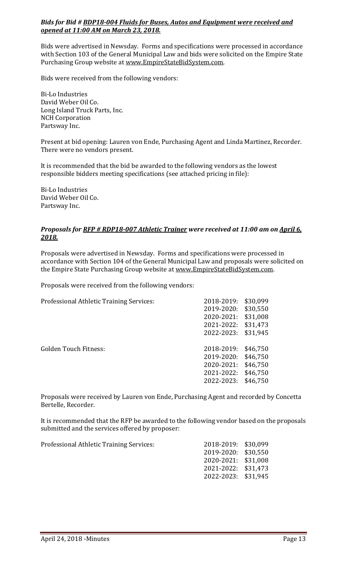#### *Bids for Bid # BDP18-004 Fluids for Buses, Autos and Equipment were received and opened at 11:00 AM on March 23, 2018.*

Bids were advertised in Newsday. Forms and specifications were processed in accordance with Section 103 of the General Municipal Law and bids were solicited on the Empire State Purchasing Group website at [www.EmpireStateBidSystem.com.](http://www.empirestatebidsystem.com/)

Bids were received from the following vendors:

Bi-Lo Industries David Weber Oil Co. Long Island Truck Parts, Inc. NCH Corporation Partsway Inc.

Present at bid opening: Lauren von Ende, Purchasing Agent and Linda Martinez, Recorder. There were no vendors present.

It is recommended that the bid be awarded to the following vendors as the lowest responsible bidders meeting specifications (see attached pricing in file):

Bi-Lo Industries David Weber Oil Co. Partsway Inc.

#### *Proposals for RFP # RDP18-007 Athletic Trainer were received at 11:00 am on April 6, 2018.*

Proposals were advertised in Newsday. Forms and specifications were processed in accordance with Section 104 of the General Municipal Law and proposals were solicited on the Empire State Purchasing Group website at [www.EmpireStateBidSystem.com.](http://www.empirestatebidsystem.com/)

Proposals were received from the following vendors:

| Professional Athletic Training Services: | 2018-2019: | \$30,099 |
|------------------------------------------|------------|----------|
|                                          | 2019-2020: | \$30,550 |
|                                          | 2020-2021: | \$31,008 |
|                                          | 2021-2022: | \$31,473 |
|                                          | 2022-2023: | \$31,945 |
|                                          |            |          |
| <b>Golden Touch Fitness:</b>             | 2018-2019: | \$46,750 |
|                                          | 2019-2020: | \$46,750 |
|                                          | 2020-2021: | \$46,750 |
|                                          | 2021-2022: | \$46,750 |
|                                          | 2022-2023: | \$46,750 |
|                                          |            |          |

Proposals were received by Lauren von Ende, Purchasing Agent and recorded by Concetta Bertelle, Recorder.

It is recommended that the RFP be awarded to the following vendor based on the proposals submitted and the services offered by proposer:

| Professional Athletic Training Services: | 2018-2019: \$30,099 |  |
|------------------------------------------|---------------------|--|
|                                          | 2019-2020: \$30,550 |  |
|                                          | 2020-2021: \$31,008 |  |
|                                          | 2021-2022: \$31,473 |  |
|                                          | 2022-2023: \$31,945 |  |
|                                          |                     |  |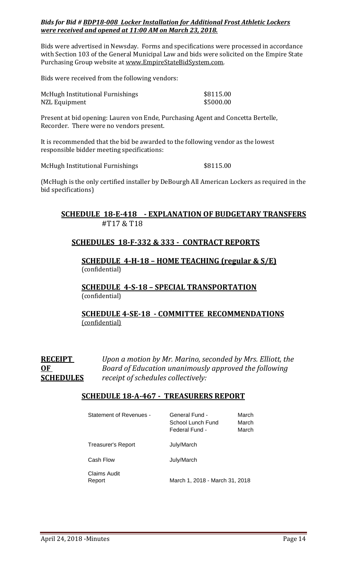#### *Bids for Bid # BDP18-008 Locker Installation for Additional Frost Athletic Lockers were received and opened at 11:00 AM on March 23, 2018.*

Bids were advertised in Newsday. Forms and specifications were processed in accordance with Section 103 of the General Municipal Law and bids were solicited on the Empire State Purchasing Group website at [www.EmpireStateBidSystem.com.](http://www.empirestatebidsystem.com/)

Bids were received from the following vendors:

| McHugh Institutional Furnishings | \$8115.00 |
|----------------------------------|-----------|
| NZL Equipment                    | \$5000.00 |

Present at bid opening: Lauren von Ende, Purchasing Agent and Concetta Bertelle, Recorder. There were no vendors present.

It is recommended that the bid be awarded to the following vendor as the lowest responsible bidder meeting specifications:

McHugh Institutional Furnishings  $$8115.00$ 

(McHugh is the only certified installer by DeBourgh All American Lockers as required in the bid specifications)

#### **SCHEDULE 18-E-418 - EXPLANATION OF BUDGETARY TRANSFERS** #T17 & T18

#### **SCHEDULES 18-F-332 & 333 - CONTRACT REPORTS**

**SCHEDULE 4-H-18 – HOME TEACHING (regular & S/E)**  (confidential)

**SCHEDULE 4-S-18 – SPECIAL TRANSPORTATION**  (confidential)

#### **SCHEDULE 4-SE-18 - COMMITTEE RECOMMENDATIONS** (confidential)

**RECEIPT** *Upon a motion by Mr. Marino, seconded by Mrs. Elliott, the*  **OF** *Board of Education unanimously approved the following*  **SCHEDULES** *receipt of schedules collectively:*

#### **SCHEDULE 18-A-467 - TREASURERS REPORT**

| <b>Statement of Revenues -</b> | General Fund -<br>School Lunch Fund<br>Federal Fund - | March<br>March<br>March |
|--------------------------------|-------------------------------------------------------|-------------------------|
| Treasurer's Report             | July/March                                            |                         |
| Cash Flow                      | July/March                                            |                         |
| Claims Audit<br>Report         | March 1, 2018 - March 31, 2018                        |                         |